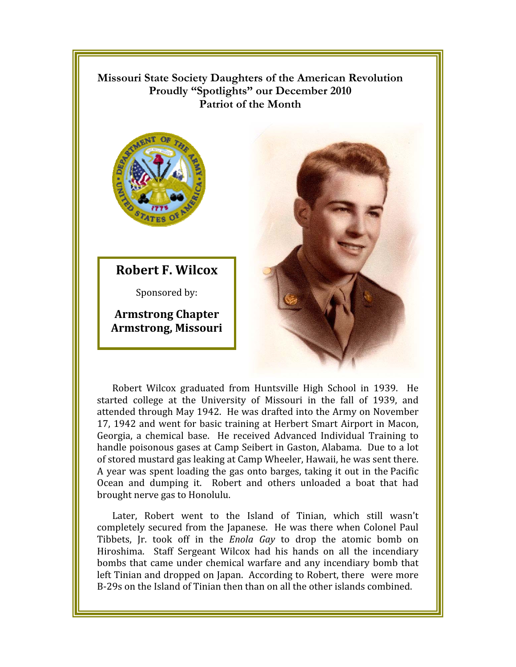Missouri State Society Daughters of the American Revolution Proudly "Spotlights" our December 2010 **Patriot of the Month** 



**Robert F. Wilcox** 

Sponsored by:

**Armstrong Chapter Armstrong, Missouri** 



Robert Wilcox graduated from Huntsville High School in 1939. He started college at the University of Missouri in the fall of 1939, and attended through May 1942. He was drafted into the Army on November 17, 1942 and went for basic training at Herbert Smart Airport in Macon, Georgia, a chemical base. He received Advanced Individual Training to handle poisonous gases at Camp Seibert in Gaston, Alabama. Due to a lot of stored mustard gas leaking at Camp Wheeler, Hawaii, he was sent there. A year was spent loading the gas onto barges, taking it out in the Pacific Ocean and dumping it. Robert and others unloaded a boat that had brought nerve gas to Honolulu.

Later, Robert went to the Island of Tinian, which still wasn't completely secured from the Japanese. He was there when Colonel Paul Tibbets, Jr. took off in the *Enola Gay* to drop the atomic bomb on Hiroshima. Staff Sergeant Wilcox had his hands on all the incendiary bombs that came under chemical warfare and any incendiary bomb that left Tinian and dropped on Japan. According to Robert, there were more B-29s on the Island of Tinian then than on all the other islands combined.